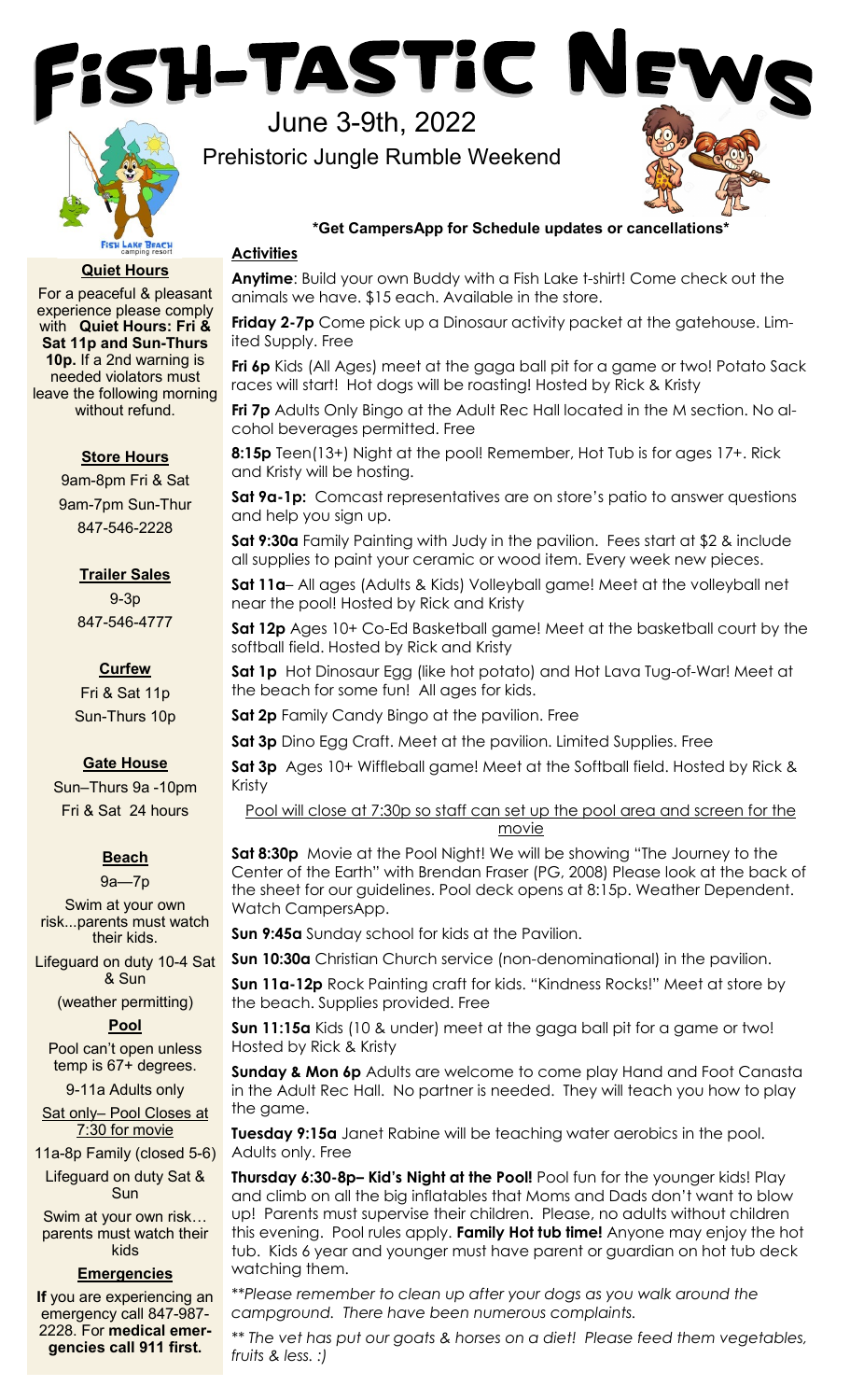



June 3-9th, 2022

Prehistoric Jungle Rumble Weekend



# **\*Get CampersApp for Schedule updates or cancellations\***

# **Activities**

**Anytime**: Build your own Buddy with a Fish Lake t-shirt! Come check out the animals we have. \$15 each. Available in the store.

**Friday 2-7p** Come pick up a Dinosaur activity packet at the gatehouse. Limited Supply. Free

**Fri 6p** Kids (All Ages) meet at the gaga ball pit for a game or two! Potato Sack races will start! Hot dogs will be roasting! Hosted by Rick & Kristy

**Fri 7p** Adults Only Bingo at the Adult Rec Hall located in the M section. No alcohol beverages permitted. Free

**8:15p** Teen(13+) Night at the pool! Remember, Hot Tub is for ages 17+. Rick and Kristy will be hosting.

**Sat 9a-1p:** Comcast representatives are on store's patio to answer questions and help you sign up.

**Sat 9:30a** Family Painting with Judy in the pavilion. Fees start at \$2 & include all supplies to paint your ceramic or wood item. Every week new pieces.

**Sat 11a**– All ages (Adults & Kids) Volleyball game! Meet at the volleyball net near the pool! Hosted by Rick and Kristy

**Sat 12p** Ages 10+ Co-Ed Basketball game! Meet at the basketball court by the softball field. Hosted by Rick and Kristy

**Sat 1p** Hot Dinosaur Egg (like hot potato) and Hot Lava Tug-of-War! Meet at the beach for some fun! All ages for kids.

**Sat 2p** Family Candy Bingo at the pavilion. Free

**Sat 3p** Dino Egg Craft. Meet at the pavilion. Limited Supplies. Free

**Sat 3p** Ages 10+ Wiffleball game! Meet at the Softball field. Hosted by Rick & Kristy

Pool will close at 7:30p so staff can set up the pool area and screen for the movie

**Sat 8:30p** Movie at the Pool Night! We will be showing "The Journey to the Center of the Earth" with Brendan Fraser (PG, 2008) Please look at the back of the sheet for our guidelines. Pool deck opens at 8:15p. Weather Dependent. Watch CampersApp.

**Sun 9:45a** Sunday school for kids at the Pavilion.

**Sun 10:30a** Christian Church service (non-denominational) in the pavilion.

**Sun 11a-12p** Rock Painting craft for kids. "Kindness Rocks!" Meet at store by the beach. Supplies provided. Free

**Sun 11:15a** Kids (10 & under) meet at the gaga ball pit for a game or two! Hosted by Rick & Kristy

**Sunday & Mon 6p** Adults are welcome to come play Hand and Foot Canasta in the Adult Rec Hall. No partner is needed. They will teach you how to play the game.

**Tuesday 9:15a** Janet Rabine will be teaching water aerobics in the pool. Adults only. Free

**Thursday 6:30-8p– Kid's Night at the Pool!** Pool fun for the younger kids! Play and climb on all the big inflatables that Moms and Dads don't want to blow up! Parents must supervise their children. Please, no adults without children this evening. Pool rules apply. **Family Hot tub time!** Anyone may enjoy the hot tub. Kids 6 year and younger must have parent or guardian on hot tub deck watching them.

*\*\*Please remember to clean up after your dogs as you walk around the campground. There have been numerous complaints.* 

*\*\* The vet has put our goats & horses on a diet! Please feed them vegetables, fruits & less. :)*

**Quiet Hours** 

For a peaceful & pleasant experience please comply with **Quiet Hours: Fri & Sat 11p and Sun-Thurs 10p.** If a 2nd warning is needed violators must leave the following morning without refund.

# **Store Hours**

9am-8pm Fri & Sat 9am-7pm Sun-Thur 847-546-2228

# **Trailer Sales**

9-3p 847-546-4777

**Curfew**  Fri & Sat 11p Sun-Thurs 10p

# **Gate House**

Sun–Thurs 9a -10pm Fri & Sat 24 hours

# **Beach**

9a—7p

Swim at your own risk...parents must watch their kids.

Lifeguard on duty 10-4 Sat & Sun

(weather permitting)

# **Pool**

Pool can't open unless temp is 67+ degrees.

9-11a Adults only

Sat only– Pool Closes at 7:30 for movie

11a-8p Family (closed 5-6)

Lifeguard on duty Sat & Sun

Swim at your own risk… parents must watch their kids

# **Emergencies**

**If** you are experiencing an emergency call 847-987- 2228. For **medical emergencies call 911 first.**